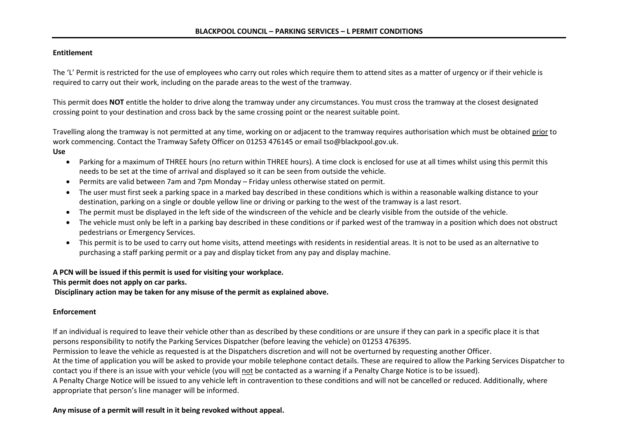## **Entitlement**

The 'L' Permit is restricted for the use of employees who carry out roles which require them to attend sites as a matter of urgency or if their vehicle is required to carry out their work, including on the parade areas to the west of the tramway.

This permit does **NOT** entitle the holder to drive along the tramway under any circumstances. You must cross the tramway at the closest designated crossing point to your destination and cross back by the same crossing point or the nearest suitable point.

Travelling along the tramway is not permitted at any time, working on or adjacent to the tramway requires authorisation which must be obtained prior to work commencing. Contact the Tramway Safety Officer on 01253 476145 or email tso@blackpool.gov.uk.

- **Use**
	- Parking for a maximum of THREE hours (no return within THREE hours). A time clock is enclosed for use at all times whilst using this permit this needs to be set at the time of arrival and displayed so it can be seen from outside the vehicle.
	- Permits are valid between 7am and 7pm Monday Friday unless otherwise stated on permit.
	- The user must first seek a parking space in a marked bay described in these conditions which is within a reasonable walking distance to your destination, parking on a single or double yellow line or driving or parking to the west of the tramway is a last resort.
	- The permit must be displayed in the left side of the windscreen of the vehicle and be clearly visible from the outside of the vehicle.
	- The vehicle must only be left in a parking bay described in these conditions or if parked west of the tramway in a position which does not obstruct pedestrians or Emergency Services.
	- This permit is to be used to carry out home visits, attend meetings with residents in residential areas. It is not to be used as an alternative to purchasing a staff parking permit or a pay and display ticket from any pay and display machine.

## **A PCN will be issued if this permit is used for visiting your workplace.**

**This permit does not apply on car parks.**

**Disciplinary action may be taken for any misuse of the permit as explained above.**

## **Enforcement**

If an individual is required to leave their vehicle other than as described by these conditions or are unsure if they can park in a specific place it is that persons responsibility to notify the Parking Services Dispatcher (before leaving the vehicle) on 01253 476395.

Permission to leave the vehicle as requested is at the Dispatchers discretion and will not be overturned by requesting another Officer.

At the time of application you will be asked to provide your mobile telephone contact details. These are required to allow the Parking Services Dispatcher to contact you if there is an issue with your vehicle (you will not be contacted as a warning if a Penalty Charge Notice is to be issued).

A Penalty Charge Notice will be issued to any vehicle left in contravention to these conditions and will not be cancelled or reduced. Additionally, where appropriate that person's line manager will be informed.

## **Any misuse of a permit will result in it being revoked without appeal.**